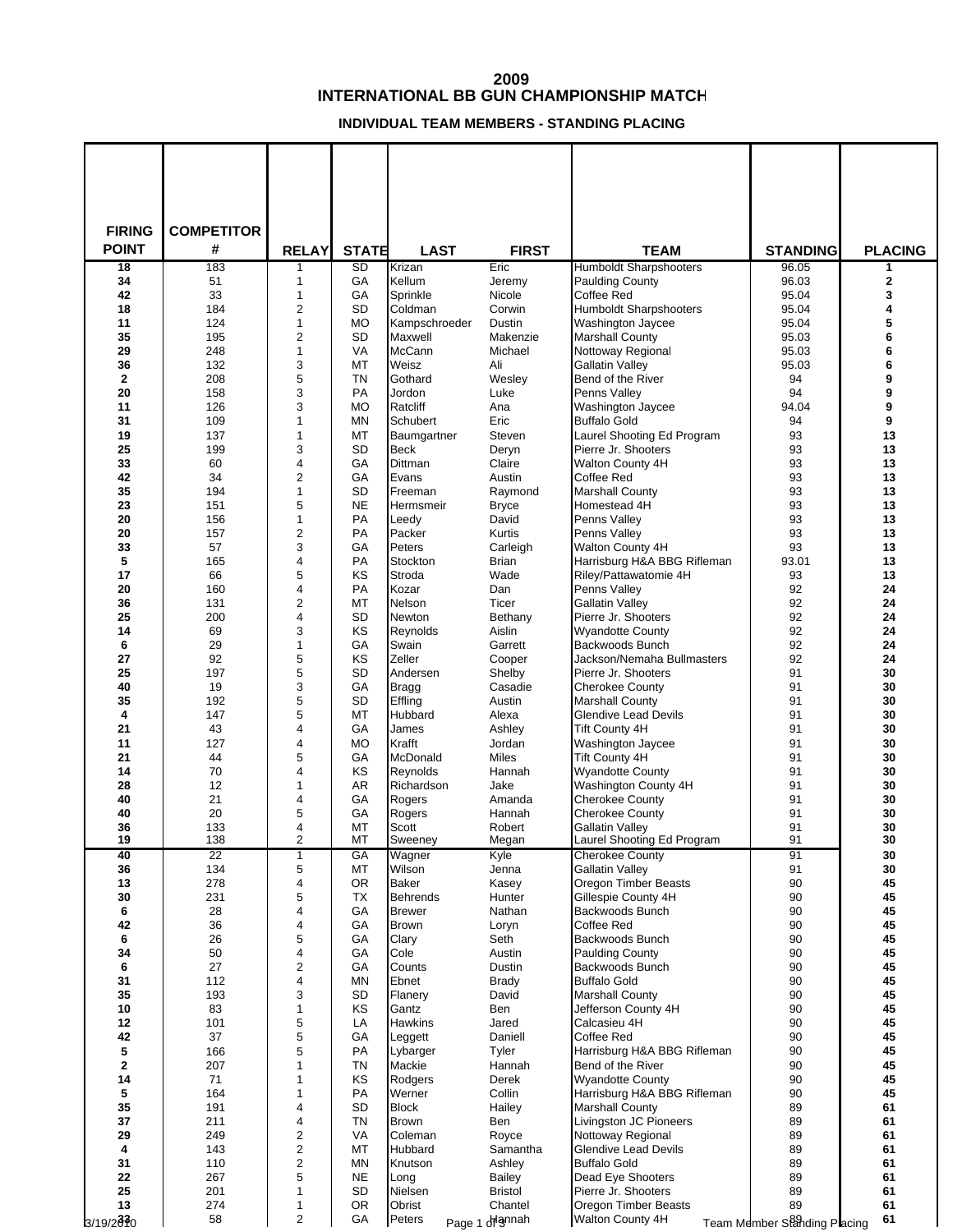## **INTERNATIONAL BB GUN CHAMPIONSHIP MATCH**

## **INDIVIDUAL TEAM MEMBERS - STANDING PLACING**

| <b>FIRING</b> | <b>COMPETITOR</b> |                |                 |                                 |                       |                                                         |                              |                |
|---------------|-------------------|----------------|-----------------|---------------------------------|-----------------------|---------------------------------------------------------|------------------------------|----------------|
| <b>POINT</b>  | #                 | <b>RELAY</b>   | <b>STATE</b>    | <b>LAST</b>                     | <b>FIRST</b>          | <b>TEAM</b>                                             | <b>STANDING</b>              | <b>PLACING</b> |
| 18<br>34      | 183<br>51         | 1<br>1         | <b>SD</b><br>GA | Krizan<br>Kellum                | <b>Eric</b><br>Jeremy | <b>Humboldt Sharpshooters</b><br><b>Paulding County</b> | 96.05<br>96.03               | 1<br>2         |
| 42            | 33                | 1              | GA              | Sprinkle                        | Nicole                | <b>Coffee Red</b>                                       | 95.04                        | 3              |
| 18            | 184               | 2              | SD              | Coldman                         | Corwin                | <b>Humboldt Sharpshooters</b>                           | 95.04                        | 4              |
| 11<br>35      | 124<br>195        | 1<br>2         | <b>MO</b><br>SD | Kampschroeder<br>Maxwell        | Dustin<br>Makenzie    | <b>Washington Jaycee</b><br><b>Marshall County</b>      | 95.04<br>95.03               | 5<br>6         |
| 29            | 248               | 1              | VA              | McCann                          | Michael               | Nottoway Regional                                       | 95.03                        | 6              |
| 36            | 132               | 3              | MT              | Weisz                           | Ali                   | <b>Gallatin Valley</b>                                  | 95.03                        | 6              |
| $\mathbf 2$   | 208               | 5              | <b>TN</b>       | Gothard                         | Wesley                | Bend of the River                                       | 94                           | 9              |
| 20<br>11      | 158<br>126        | 3<br>3         | PA<br><b>MO</b> | Jordon<br>Ratcliff              | Luke<br>Ana           | Penns Valley<br>Washington Jaycee                       | 94<br>94.04                  | 9<br>9         |
| 31            | 109               | 1              | MN              | Schubert                        | Eric                  | <b>Buffalo Gold</b>                                     | 94                           | 9              |
| 19            | 137               | 1              | MT              | Baumgartner                     | Steven                | Laurel Shooting Ed Program                              | 93                           | 13             |
| 25            | 199               | 3              | SD              | <b>Beck</b>                     | Deryn                 | Pierre Jr. Shooters                                     | 93                           | 13             |
| 33<br>42      | 60<br>34          | 4<br>2         | GA<br>GA        | <b>Dittman</b><br>Evans         | Claire<br>Austin      | Walton County 4H<br><b>Coffee Red</b>                   | 93<br>93                     | 13<br>13       |
| 35            | 194               | 1              | SD              | Freeman                         | Raymond               | <b>Marshall County</b>                                  | 93                           | 13             |
| 23            | 151               | 5              | <b>NE</b>       | Hermsmeir                       | <b>Bryce</b>          | Homestead 4H                                            | 93                           | 13             |
| 20            | 156               | 1              | PA              | Leedy                           | David                 | Penns Valley                                            | 93                           | 13             |
| 20<br>33      | 157<br>57         | 2<br>3         | PA<br>GA        | Packer<br>Peters                | Kurtis<br>Carleigh    | Penns Valley<br>Walton County 4H                        | 93<br>93                     | 13<br>13       |
| 5             | 165               | 4              | PA              | Stockton                        | <b>Brian</b>          | Harrisburg H&A BBG Rifleman                             | 93.01                        | 13             |
| 17            | 66                | 5              | KS              | Stroda                          | Wade                  | Riley/Pattawatomie 4H                                   | 93                           | 13             |
| 20            | 160               | 4              | PA              | Kozar                           | Dan                   | Penns Valley                                            | 92                           | 24             |
| 36<br>25      | 131<br>200        | 2<br>4         | MT<br>SD        | Nelson<br>Newton                | Ticer<br>Bethany      | <b>Gallatin Valley</b><br>Pierre Jr. Shooters           | 92<br>92                     | 24<br>24       |
| 14            | 69                | 3              | KS              | Reynolds                        | Aislin                | <b>Wyandotte County</b>                                 | 92                           | 24             |
| 6             | 29                | 1              | GA              | Swain                           | Garrett               | Backwoods Bunch                                         | 92                           | 24             |
| 27            | 92                | 5              | KS              | Zeller                          | Cooper                | Jackson/Nemaha Bullmasters                              | 92                           | 24             |
| 25<br>40      | 197<br>19         | 5<br>3         | SD<br>GA        | Andersen<br><b>Bragg</b>        | Shelby<br>Casadie     | Pierre Jr. Shooters<br><b>Cherokee County</b>           | 91<br>91                     | 30<br>30       |
| 35            | 192               | 5              | SD              | Effling                         | Austin                | <b>Marshall County</b>                                  | 91                           | 30             |
| 4             | 147               | 5              | MT              | Hubbard                         | Alexa                 | Glendive Lead Devils                                    | 91                           | 30             |
| 21            | 43                | 4              | GA              | James                           | Ashley                | <b>Tift County 4H</b>                                   | 91                           | 30             |
| 11<br>21      | 127<br>44         | 4<br>5         | <b>MO</b><br>GA | Krafft<br>McDonald              | Jordan<br>Miles       | Washington Jaycee<br><b>Tift County 4H</b>              | 91<br>91                     | 30<br>30       |
| 14            | 70                | 4              | KS              | Reynolds                        | Hannah                | <b>Wyandotte County</b>                                 | 91                           | 30             |
| 28            | 12                | 1              | <b>AR</b>       | Richardson                      | Jake                  | Washington County 4H                                    | 91                           | 30             |
| 40            | 21                | 4              | GA              | Rogers                          | Amanda                | <b>Cherokee County</b>                                  | 91                           | 30             |
| 40<br>36      | 20<br>133         | 5<br>4         | GA<br>MT        | Rogers<br>Scott                 | Hannah<br>Robert      | <b>Cherokee County</b><br><b>Gallatin Valley</b>        | 91<br>91                     | 30<br>30       |
| 19            | 138               | 2              | МT              | Sweeney                         | Megan                 | Laurel Shooting Ed Program                              | 91                           | 30             |
| 40            | 22                | $\overline{1}$ | GA              | Wagner                          | Kyle                  | <b>Cherokee County</b>                                  | 91                           | 30             |
| 36            | 134               | 5              | MT              | Wilson                          | Jenna                 | <b>Gallatin Valley</b>                                  | 91                           | 30             |
| 13<br>30      | 278<br>231        | 4<br>5         | <b>OR</b><br>TX | <b>Baker</b><br><b>Behrends</b> | Kasey<br>Hunter       | Oregon Timber Beasts<br>Gillespie County 4H             | 90<br>90                     | 45<br>45       |
| 6             | 28                | 4              | GA              | <b>Brewer</b>                   | Nathan                | Backwoods Bunch                                         | 90                           | 45             |
| 42            | 36                | 4              | GA              | <b>Brown</b>                    | Loryn                 | <b>Coffee Red</b>                                       | 90                           | 45             |
| 6<br>34       | 26<br>50          | 5<br>4         | GA<br>GA        | Clary<br>Cole                   | Seth<br>Austin        | Backwoods Bunch<br><b>Paulding County</b>               | 90<br>90                     | 45<br>45       |
| 6             | 27                | 2              | GА              | Counts                          | Dustin                | Backwoods Bunch                                         | 90                           | 45             |
| 31            | 112               | 4              | MN              | Ebnet                           | <b>Brady</b>          | <b>Buffalo Gold</b>                                     | 90                           | 45             |
| 35            | 193               | 3              | SD              | Flanery                         | David                 | <b>Marshall County</b>                                  | 90                           | 45             |
| $10\,$<br>12  | 83<br>101         | 1<br>5         | KS<br>LA        | Gantz<br>Hawkins                | Ben<br>Jared          | Jefferson County 4H<br>Calcasieu 4H                     | 90<br>90                     | 45<br>45       |
| 42            | 37                | 5              | GA              | Leggett                         | Daniell               | <b>Coffee Red</b>                                       | 90                           | 45             |
| 5             | 166               | 5              | PA              | Lybarger                        | Tyler                 | Harrisburg H&A BBG Rifleman                             | 90                           | 45             |
| $\mathbf 2$   | 207               | 1              | TN              | Mackie                          | Hannah                | Bend of the River                                       | 90                           | 45             |
| 14<br>5       | 71<br>164         | 1<br>1         | KS<br>PA        | Rodgers<br>Werner               | Derek<br>Collin       | <b>Wyandotte County</b><br>Harrisburg H&A BBG Rifleman  | 90<br>90                     | 45<br>45       |
| 35            | 191               | 4              | <b>SD</b>       | <b>Block</b>                    | Hailey                | <b>Marshall County</b>                                  | 89                           | 61             |
| 37            | 211               | 4              | TN              | <b>Brown</b>                    | Ben                   | Livingston JC Pioneers                                  | 89                           | 61             |
| 29            | 249               | 2              | VA              | Coleman                         | Royce                 | Nottoway Regional                                       | 89                           | 61             |
| 4<br>31       | 143<br>110        | 2<br>2         | MT<br>ΜN        | Hubbard<br>Knutson              | Samantha<br>Ashley    | Glendive Lead Devils<br><b>Buffalo Gold</b>             | 89<br>89                     | 61<br>61       |
| 22            | 267               | 5              | <b>NE</b>       | Long                            | Bailey                | Dead Eye Shooters                                       | 89                           | 61             |
| 25            | 201               | 1              | <b>SD</b>       | Nielsen                         | Bristol               | Pierre Jr. Shooters                                     | 89                           | 61             |
| 13            | 274<br>58         | 1<br>2         | <b>OR</b><br>GA | Obrist<br>Peters                | Chantel               | <b>Oregon Timber Beasts</b><br>Walton County 4H         | 89                           | 61<br>61       |
| 3/19/2010     |                   |                |                 |                                 | Page 1 driannah       |                                                         | Team Member Standing Placing |                |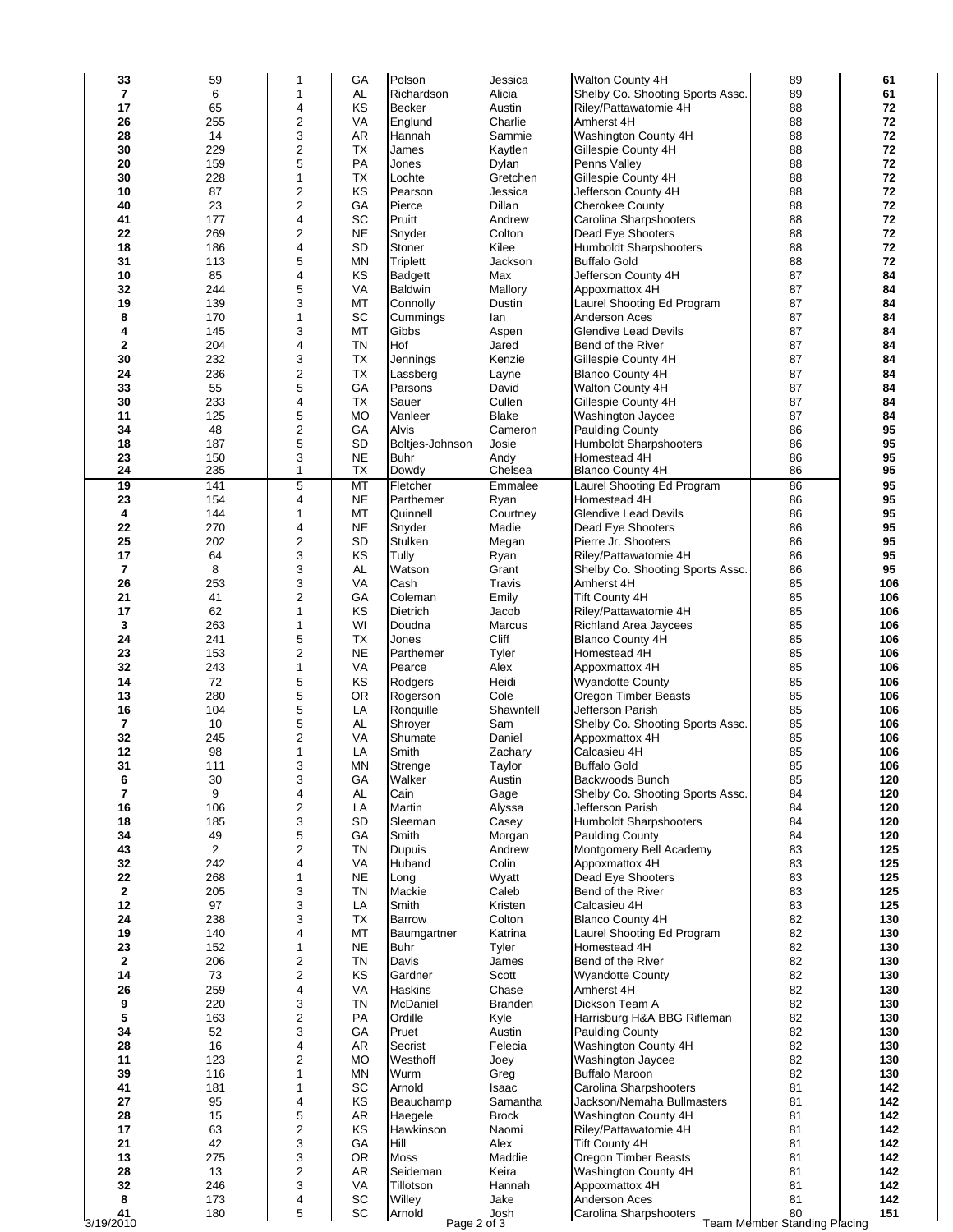| 33              | 59         | 1                            | GA        | Polson                        | Jessica           | Walton County 4H                                  | 89                                        | 61         |
|-----------------|------------|------------------------------|-----------|-------------------------------|-------------------|---------------------------------------------------|-------------------------------------------|------------|
| 7               | 6          | 1                            | <b>AL</b> | Richardson                    | Alicia            | Shelby Co. Shooting Sports Assc.                  | 89                                        | 61         |
| 17              | 65         | 4                            | KS        | <b>Becker</b>                 | Austin            | Riley/Pattawatomie 4H                             | 88                                        | 72         |
| 26<br>28        | 255<br>14  | 2<br>3                       | VA<br>AR  | Englund                       | Charlie           | Amherst 4H                                        | 88<br>88                                  | 72<br>72   |
| 30              | 229        | $\overline{\mathbf{c}}$      | ТX        | Hannah<br>James               | Sammie<br>Kaytlen | Washington County 4H<br>Gillespie County 4H       | 88                                        | 72         |
| 20              | 159        | 5                            | PA        | Jones                         | Dylan             | Penns Valley                                      | 88                                        | 72         |
| 30              | 228        | 1                            | <b>TX</b> | Lochte                        | Gretchen          | Gillespie County 4H                               | 88                                        | 72         |
| 10              | 87         | $\overline{\mathbf{c}}$      | KS        | Pearson                       | Jessica           | Jefferson County 4H                               | 88                                        | 72         |
| 40              | 23         | $\overline{\mathbf{c}}$      | GA        | Pierce                        | Dillan            | <b>Cherokee County</b>                            | 88                                        | 72         |
| 41              | 177        | 4                            | SC        | Pruitt                        | Andrew            | Carolina Sharpshooters                            | 88                                        | 72         |
| 22              | 269        | $\overline{\mathbf{c}}$      | <b>NE</b> | Snyder                        | Colton            | Dead Eye Shooters                                 | 88                                        | 72         |
| 18              | 186        | 4                            | SD        | Stoner                        | Kilee             | <b>Humboldt Sharpshooters</b>                     | 88                                        | 72         |
| 31              | 113        | 5                            | MN        | Triplett                      | Jackson           | <b>Buffalo Gold</b>                               | 88                                        | 72         |
| 10              | 85         | 4                            | KS        | <b>Badgett</b>                | Max               | Jefferson County 4H                               | 87                                        | 84         |
| 32              | 244        | 5                            | VA        | <b>Baldwin</b>                | Mallory           | Appoxmattox 4H                                    | 87                                        | 84         |
| 19              | 139        | 3                            | MT        | Connolly                      | Dustin            | Laurel Shooting Ed Program                        | 87                                        | 84         |
| 8               | 170        | 1                            | SC        | Cummings                      | lan               | <b>Anderson Aces</b>                              | 87                                        | 84         |
| 4               | 145        | 3                            | MT        | Gibbs                         | Aspen             | <b>Glendive Lead Devils</b>                       | 87                                        | 84         |
| 2               | 204        | 4                            | <b>TN</b> | Hof                           | Jared             | Bend of the River                                 | 87                                        | 84         |
| 30<br>24        | 232<br>236 | 3<br>$\overline{\mathbf{c}}$ | TX<br>TX  | Jennings                      | Kenzie            | Gillespie County 4H                               | 87<br>87                                  | 84<br>84   |
| 33              | 55         | 5                            | GA        | Lassberg<br>Parsons           | Layne<br>David    | <b>Blanco County 4H</b><br>Walton County 4H       | 87                                        | 84         |
| 30              | 233        | 4                            | <b>TX</b> | Sauer                         | Cullen            | Gillespie County 4H                               | 87                                        | 84         |
| 11              | 125        | 5                            | <b>MO</b> | Vanleer                       | <b>Blake</b>      | Washington Jaycee                                 | 87                                        | 84         |
| 34              | 48         | 2                            | GA        | Alvis                         | Cameron           | <b>Paulding County</b>                            | 86                                        | 95         |
| 18              | 187        | 5                            | SD        | Boltjes-Johnson               | Josie             | <b>Humboldt Sharpshooters</b>                     | 86                                        | 95         |
| 23              | 150        | 3                            | <b>NE</b> | <b>Buhr</b>                   | Andy              | Homestead 4H                                      | 86                                        | 95         |
| 24              | 235        | 1                            | TX        | Dowdy                         | Chelsea           | <b>Blanco County 4H</b>                           | 86                                        | 95         |
| 19              | 141        | 5                            | MT        | Fletcher                      | Emmalee           | Laurel Shooting Ed Program                        | 86                                        | 95         |
| 23              | 154        | 4                            | <b>NE</b> | Parthemer                     | Ryan              | Homestead 4H                                      | 86                                        | 95         |
| 4               | 144        | 1                            | MT        | Quinnell                      | Courtney          | <b>Glendive Lead Devils</b>                       | 86                                        | 95         |
| 22              | 270        | 4                            | <b>NE</b> | Snyder                        | Madie             | Dead Eye Shooters                                 | 86                                        | 95         |
| 25              | 202        | $\overline{\mathbf{c}}$      | SD        | <b>Stulken</b>                | Megan             | Pierre Jr. Shooters                               | 86                                        | 95         |
| 17              | 64         | 3                            | KS        | Tully                         | Ryan              | Riley/Pattawatomie 4H                             | 86                                        | 95         |
| 7               | 8          | 3                            | <b>AL</b> | Watson                        | Grant             | Shelby Co. Shooting Sports Assc.                  | 86                                        | 95         |
| 26              | 253        | 3                            | VA        | Cash                          | Travis            | Amherst 4H                                        | 85                                        | 106        |
| 21<br>17        | 41<br>62   | 2<br>1                       | GA<br>KS  | Coleman<br>Dietrich           | Emily<br>Jacob    | Tift County 4H<br>Riley/Pattawatomie 4H           | 85<br>85                                  | 106<br>106 |
| 3               | 263        | 1                            | WI        | Doudna                        | Marcus            | Richland Area Jaycees                             | 85                                        | 106        |
| 24              | 241        | 5                            | <b>TX</b> | Jones                         | Cliff             | <b>Blanco County 4H</b>                           | 85                                        | 106        |
| 23              | 153        | $\overline{\mathbf{c}}$      | <b>NE</b> | Parthemer                     | Tyler             | Homestead 4H                                      | 85                                        | 106        |
| 32              | 243        | 1                            | VA        | Pearce                        | Alex              | Appoxmattox 4H                                    | 85                                        | 106        |
| 14              | 72         | 5                            | KS        | Rodgers                       | Heidi             | Wyandotte County                                  | 85                                        | 106        |
| 13              | 280        | 5                            | <b>OR</b> | Rogerson                      | Cole              | Oregon Timber Beasts                              | 85                                        | 106        |
| 16              | 104        | 5                            | LA        | Ronquille                     | Shawntell         | Jefferson Parish                                  | 85                                        | 106        |
| 7               | 10         | 5                            | <b>AL</b> | Shroyer                       | Sam               | Shelby Co. Shooting Sports Assc.                  | 85                                        | 106        |
| 32              | 245        | 2                            | VA        | Shumate                       | Daniel            | Appoxmattox 4H                                    | 85                                        | 106        |
| 12              | 98         | 1                            | LA        | Smith                         | Zachary           | Calcasieu 4H                                      | 85                                        | 106        |
| 31              | 111        | 3                            | MN        | Strenge                       | Taylor            | <b>Buffalo Gold</b>                               | 85                                        | 106        |
| 6               | 30         | 3                            | GA        | Walker                        | Austin            | Backwoods Bunch                                   | 85                                        | 120        |
| 7               | 9          | 4                            | <b>AL</b> | Cain                          | Gage              | Shelby Co. Shooting Sports Assc.                  | 84                                        | 120        |
| 16              | 106        | 2                            | LA        | Martin                        | Alyssa            | Jefferson Parish                                  | 84                                        | 120        |
| 18<br>34        | 185<br>49  | 3<br>5                       | SD<br>GA  | Sleeman<br>Smith              | Casey             | Humboldt Sharpshooters                            | 84<br>84                                  | 120<br>120 |
| 43              | 2          | 2                            | <b>TN</b> | <b>Dupuis</b>                 | Morgan<br>Andrew  | <b>Paulding County</b><br>Montgomery Bell Academy | 83                                        | 125        |
| 32              | 242        | 4                            | VA        | Huband                        | Colin             | Appoxmattox 4H                                    | 83                                        | 125        |
| 22              | 268        | 1                            | <b>NE</b> | Long                          | Wyatt             | Dead Eye Shooters                                 | 83                                        | 125        |
| $\mathbf{2}$    | 205        | 3                            | TN        | Mackie                        | Caleb             | Bend of the River                                 | 83                                        | 125        |
| 12              | 97         | 3                            | LA        | Smith                         | Kristen           | Calcasieu 4H                                      | 83                                        | 125        |
| 24              | 238        | 3                            | <b>TX</b> | Barrow                        | Colton            | <b>Blanco County 4H</b>                           | 82                                        | 130        |
| 19              | 140        | 4                            | МT        | Baumgartner                   | Katrina           | Laurel Shooting Ed Program                        | 82                                        | 130        |
| 23              | 152        | 1                            | <b>NE</b> | Buhr                          | Tyler             | Homestead 4H                                      | 82                                        | 130        |
| $\mathbf 2$     | 206        | 2                            | <b>TN</b> | Davis                         | James             | Bend of the River                                 | 82                                        | 130        |
| 14              | 73         | 2                            | KS        | Gardner                       | Scott             | <b>Wyandotte County</b>                           | 82                                        | 130        |
| 26              | 259        | 4                            | VA        | Haskins                       | Chase             | Amherst 4H                                        | 82                                        | 130        |
| 9               | 220        | 3                            | <b>TN</b> | McDaniel                      | Branden           | Dickson Team A                                    | 82                                        | 130        |
| 5               | 163        | 2                            | PA        | Ordille                       | Kyle              | Harrisburg H&A BBG Rifleman                       | 82                                        | 130        |
| 34              | 52         | 3                            | GA        | Pruet                         | Austin            | <b>Paulding County</b>                            | 82                                        | 130        |
| 28<br>11        | 16<br>123  | 4                            | AR        | Secrist                       | Felecia           | Washington County 4H                              | 82<br>82                                  | 130<br>130 |
| 39              | 116        | 2<br>1                       | МO<br>MN  | Westhoff<br>Wurm              | Joey<br>Greg      | Washington Jaycee<br><b>Buffalo Maroon</b>        | 82                                        | 130        |
| 41              | 181        | 1                            | SC        | Arnold                        | Isaac             | Carolina Sharpshooters                            | 81                                        | 142        |
| 27              | 95         | 4                            | KS        | Beauchamp                     | Samantha          | Jackson/Nemaha Bullmasters                        | 81                                        | 142        |
| 28              | 15         | 5                            | AR        | Haegele                       | <b>Brock</b>      | Washington County 4H                              | 81                                        | 142        |
| 17              | 63         | 2                            | KS        | Hawkinson                     | Naomi             | Riley/Pattawatomie 4H                             | 81                                        | 142        |
| 21              | 42         | 3                            | GA        | Hill                          | Alex              | Tift County 4H                                    | 81                                        | 142        |
| 13              | 275        | 3                            | OR.       | <b>Moss</b>                   | Maddie            | Oregon Timber Beasts                              | 81                                        | 142        |
| 28              | 13         | 2                            | AR        | Seideman                      | Keira             | Washington County 4H                              | 81                                        | 142        |
| 32              | 246        | 3                            | VA        | Tillotson                     | Hannah            | Appoxmattox 4H                                    | 81                                        | 142        |
| 8               | 173        | 4                            | SC        | Willey                        | Jake              | Anderson Aces                                     | 81                                        | 142        |
| 41<br>3/19/2010 | 180        | 5                            | SC        | Arnold<br>Josh<br>Page 2 of 3 |                   | Carolina Sharpshooters                            | 80<br><b>Team Member Standing Placing</b> | 151        |
|                 |            |                              |           |                               |                   |                                                   |                                           |            |